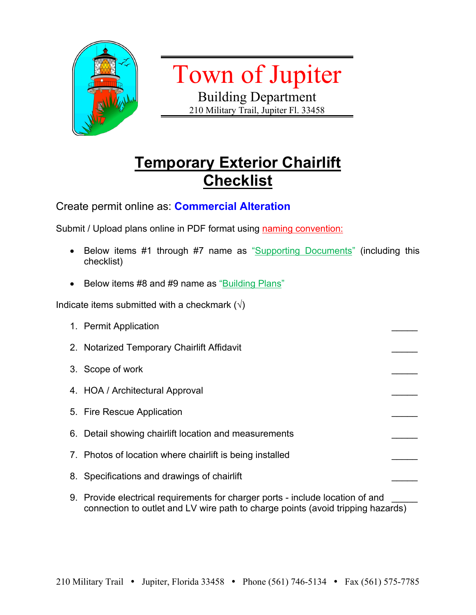

Town of Jupiter

Building Department 210 Military Trail, Jupiter Fl. 33458

## **Temporary Exterior Chairlift Checklist**

Create permit online as: **Commercial Alteration**

Submit / Upload plans online in PDF format using naming convention:

- Below items #1 through #7 name as "Supporting Documents" (including this checklist)
- Below items #8 and #9 name as "Building Plans"

Indicate items submitted with a checkmark  $(\sqrt{)}$ 

- 1. Permit Application 2. Notarized Temporary Chairlift Affidavit 3. Scope of work 4. HOA / Architectural Approval 5. Fire Rescue Application 6. Detail showing chairlift location and measurements 7. Photos of location where chairlift is being installed 8. Specifications and drawings of chairlift 9. Provide electrical requirements for charger ports - include location of and
- connection to outlet and LV wire path to charge points (avoid tripping hazards)